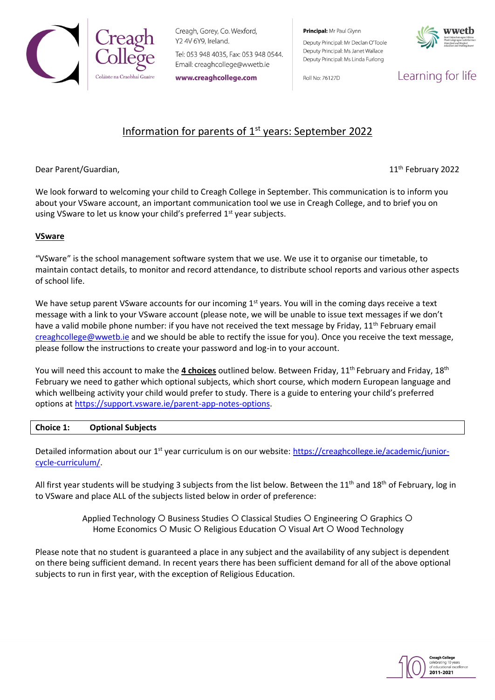

Creagh, Gorey, Co. Wexford, Y2 4V 6Y9, Ireland.

Tel: 053 948 4035, Fax: 053 948 0544. Email: creaghcollege@wwetb.ie

www.creaghcollege.com

Principal: Mr Paul Glynn

Deputy Principal: Mr Declan O'Toole Deputy Principal: Ms Janet Wallace Deputy Principal: Ms Linda Furlong

Roll No: 76127D



Learning for life

# Information for parents of  $1<sup>st</sup>$  years: September 2022

Dear Parent/Guardian,

11<sup>th</sup> February 2022

We look forward to welcoming your child to Creagh College in September. This communication is to inform you about your VSware account, an important communication tool we use in Creagh College, and to brief you on using VSware to let us know your child's preferred 1<sup>st</sup> year subjects.

# **VSware**

"VSware" is the school management software system that we use. We use it to organise our timetable, to maintain contact details, to monitor and record attendance, to distribute school reports and various other aspects of school life.

We have setup parent VSware accounts for our incoming  $1<sup>st</sup>$  years. You will in the coming days receive a text message with a link to your VSware account (please note, we will be unable to issue text messages if we don't have a valid mobile phone number: if you have not received the text message by Friday,  $11<sup>th</sup>$  February email [creaghcollege@wwetb.ie](mailto:creaghcollege@wwetb.ie) and we should be able to rectify the issue for you). Once you receive the text message, please follow the instructions to create your password and log-in to your account.

You will need this account to make the *4 choices* outlined below. Between Friday, 11<sup>th</sup> February and Friday, 18<sup>th</sup> February we need to gather which optional subjects, which short course, which modern European language and which wellbeing activity your child would prefer to study. There is a guide to entering your child's preferred options at [https://support.vsware.ie/parent-app-notes-options.](https://support.vsware.ie/parent-app-notes-options)

## **Choice 1: Optional Subjects**

Detailed information about our 1<sup>st</sup> year curriculum is on our website: [https://creaghcollege.ie/academic/junior](https://creaghcollege.ie/academic/junior-cycle-curriculum/)[cycle-curriculum/.](https://creaghcollege.ie/academic/junior-cycle-curriculum/)

All first year students will be studying 3 subjects from the list below. Between the 11<sup>th</sup> and 18<sup>th</sup> of February, log in to VSware and place ALL of the subjects listed below in order of preference:

> Applied Technology  $\bigcirc$  Business Studies  $\bigcirc$  Classical Studies  $\bigcirc$  Engineering  $\bigcirc$  Graphics  $\bigcirc$ Home Economics  $O$  Music  $O$  Religious Education  $O$  Visual Art  $O$  Wood Technology

Please note that no student is guaranteed a place in any subject and the availability of any subject is dependent on there being sufficient demand. In recent years there has been sufficient demand for all of the above optional subjects to run in first year, with the exception of Religious Education.

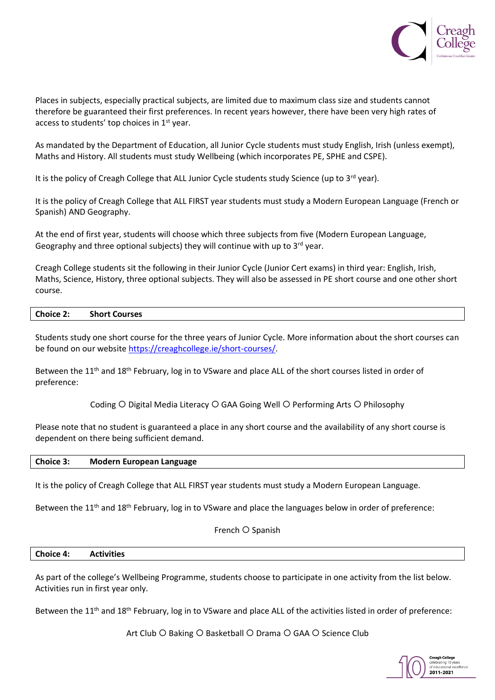

Places in subjects, especially practical subjects, are limited due to maximum class size and students cannot therefore be guaranteed their first preferences. In recent years however, there have been very high rates of access to students' top choices in 1st year.

As mandated by the Department of Education, all Junior Cycle students must study English, Irish (unless exempt), Maths and History. All students must study Wellbeing (which incorporates PE, SPHE and CSPE).

It is the policy of Creagh College that ALL Junior Cycle students study Science (up to 3<sup>rd</sup> year).

It is the policy of Creagh College that ALL FIRST year students must study a Modern European Language (French or Spanish) AND Geography.

At the end of first year, students will choose which three subjects from five (Modern European Language, Geography and three optional subjects) they will continue with up to  $3^{rd}$  year.

Creagh College students sit the following in their Junior Cycle (Junior Cert exams) in third year: English, Irish, Maths, Science, History, three optional subjects. They will also be assessed in PE short course and one other short course.

#### **Choice 2: Short Courses**

Students study one short course for the three years of Junior Cycle. More information about the short courses can be found on our website [https://creaghcollege.ie/short-courses/.](https://creaghcollege.ie/short-courses/)

Between the 11<sup>th</sup> and 18<sup>th</sup> February, log in to VSware and place ALL of the short courses listed in order of preference:

Coding  $\bigcirc$  Digital Media Literacy  $\bigcirc$  GAA Going Well  $\bigcirc$  Performing Arts  $\bigcirc$  Philosophy

Please note that no student is guaranteed a place in any short course and the availability of any short course is dependent on there being sufficient demand.

## **Choice 3: Modern European Language**

It is the policy of Creagh College that ALL FIRST year students must study a Modern European Language.

Between the 11<sup>th</sup> and 18<sup>th</sup> February, log in to VSware and place the languages below in order of preference:

French O Spanish

### **Choice 4: Activities**

As part of the college's Wellbeing Programme, students choose to participate in one activity from the list below. Activities run in first year only.

Between the 11<sup>th</sup> and 18<sup>th</sup> February, log in to VSware and place ALL of the activities listed in order of preference:

Art Club O Baking O Basketball O Drama O GAA O Science Club